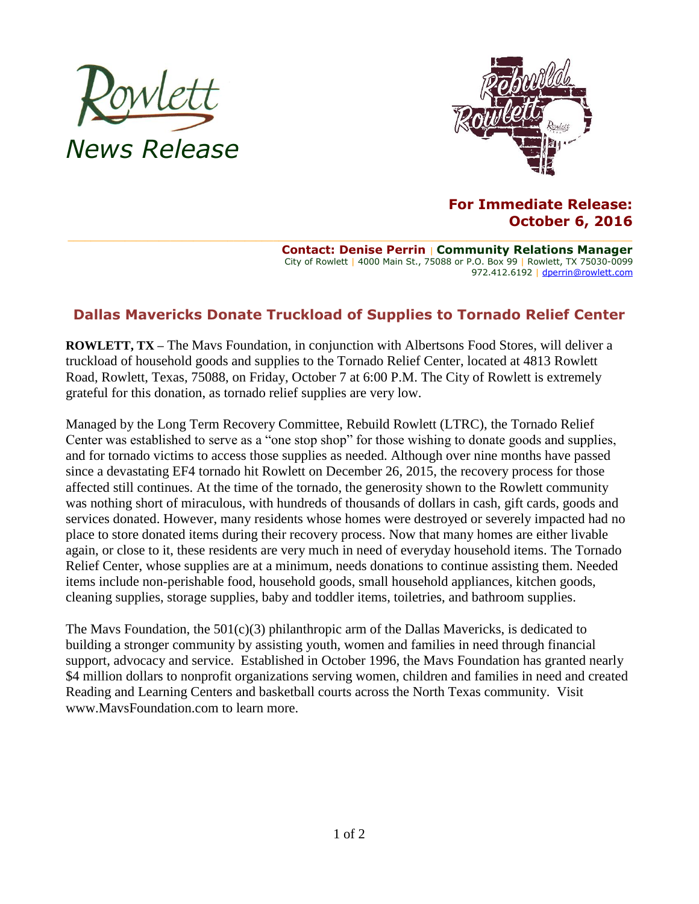



## **For Immediate Release: October 6, 2016**

**Contact: Denise Perrin** | **Community Relations Manager** City of Rowlett | 4000 Main St., 75088 or P.O. Box 99 | Rowlett, TX 75030-0099 972.412.6192 | [dperrin@rowlett.com](mailto:dperrin@rowlett.com)

## **Dallas Mavericks Donate Truckload of Supplies to Tornado Relief Center**

**ROWLETT, TX –** The Mavs Foundation, in conjunction with Albertsons Food Stores, will deliver a truckload of household goods and supplies to the Tornado Relief Center, located at 4813 Rowlett Road, Rowlett, Texas, 75088, on Friday, October 7 at 6:00 P.M. The City of Rowlett is extremely grateful for this donation, as tornado relief supplies are very low.

Managed by the Long Term Recovery Committee, Rebuild Rowlett (LTRC), the Tornado Relief Center was established to serve as a "one stop shop" for those wishing to donate goods and supplies, and for tornado victims to access those supplies as needed. Although over nine months have passed since a devastating EF4 tornado hit Rowlett on December 26, 2015, the recovery process for those affected still continues. At the time of the tornado, the generosity shown to the Rowlett community was nothing short of miraculous, with hundreds of thousands of dollars in cash, gift cards, goods and services donated. However, many residents whose homes were destroyed or severely impacted had no place to store donated items during their recovery process. Now that many homes are either livable again, or close to it, these residents are very much in need of everyday household items. The Tornado Relief Center, whose supplies are at a minimum, needs donations to continue assisting them. Needed items include non-perishable food, household goods, small household appliances, kitchen goods, cleaning supplies, storage supplies, baby and toddler items, toiletries, and bathroom supplies.

The Mavs Foundation, the  $501(c)(3)$  philanthropic arm of the Dallas Mavericks, is dedicated to building a stronger community by assisting youth, women and families in need through financial support, advocacy and service. Established in October 1996, the Mavs Foundation has granted nearly \$4 million dollars to nonprofit organizations serving women, children and families in need and created Reading and Learning Centers and basketball courts across the North Texas community. Visit www.MavsFoundation.com to learn more.